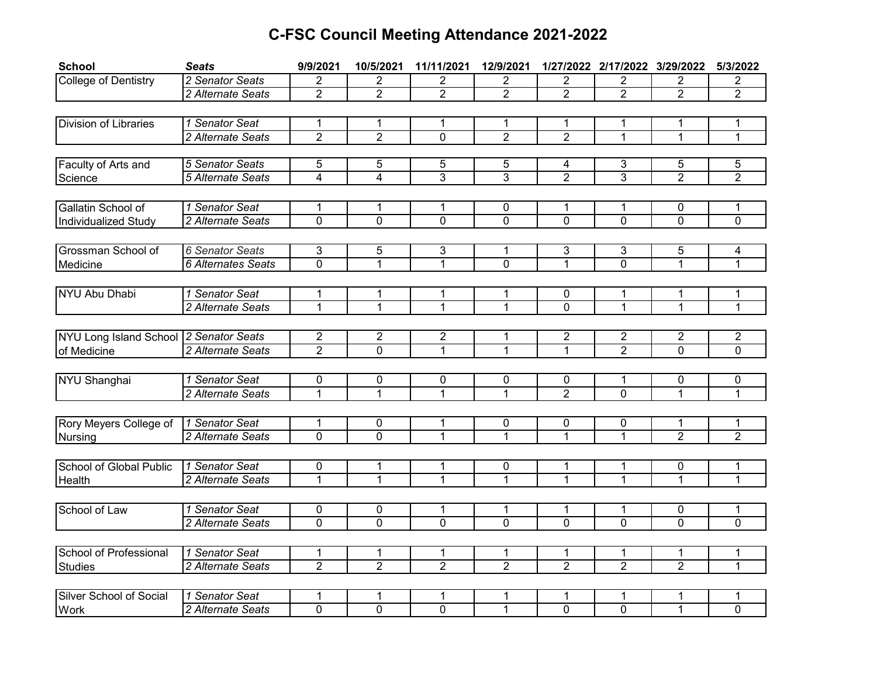## **C-FSC Council Meeting Attendance 2021-2022**

| <b>School</b>                          | <b>Seats</b>              | 9/9/2021         | 10/5/2021           | 11/11/2021          | 12/9/2021           |                     | 1/27/2022 2/17/2022 3/29/2022 |                     | 5/3/2022            |
|----------------------------------------|---------------------------|------------------|---------------------|---------------------|---------------------|---------------------|-------------------------------|---------------------|---------------------|
| <b>College of Dentistry</b>            | 2 Senator Seats           | 2                | $\overline{2}$      | $\overline{2}$      | 2                   | 2                   | 2                             | 2                   | 2                   |
|                                        | 2 Alternate Seats         | $\overline{2}$   | $\overline{2}$      | $\overline{2}$      | $\overline{2}$      | $\overline{2}$      | $\overline{2}$                | $\overline{2}$      | $\overline{2}$      |
|                                        |                           |                  |                     |                     |                     |                     |                               |                     |                     |
| Division of Libraries                  | 1 Senator Seat            | 1                | 1                   | 1                   | 1                   | 1                   | 1                             | 1                   | 1                   |
|                                        | 2 Alternate Seats         | $\overline{2}$   | $\overline{2}$      | $\overline{0}$      | $\overline{2}$      | $\overline{2}$      | $\mathbf{1}$                  | $\mathbf{1}$        | $\mathbf{1}$        |
|                                        |                           |                  |                     |                     |                     |                     |                               |                     |                     |
| Faculty of Arts and                    | 5 Senator Seats           | 5                | 5                   | 5                   | 5                   | 4                   | 3                             | 5                   | 5                   |
| Science                                | 5 Alternate Seats         | $\overline{4}$   | 4                   | 3                   | 3                   | $\overline{2}$      | $\overline{3}$                | $\overline{2}$      | $\overline{2}$      |
|                                        |                           |                  |                     |                     |                     |                     |                               |                     |                     |
| Gallatin School of                     | 1 Senator Seat            | 1                | 1                   | 1                   | 0                   | 1                   | 1                             | 0                   | 1                   |
| Individualized Study                   | 2 Alternate Seats         | $\overline{0}$   | $\overline{0}$      | $\overline{0}$      | $\overline{0}$      | $\overline{0}$      | $\overline{0}$                | $\overline{0}$      | $\overline{0}$      |
|                                        |                           |                  |                     |                     |                     |                     |                               |                     |                     |
| Grossman School of                     | 6 Senator Seats           | 3                | 5                   | 3                   | 1                   | 3                   | 3                             | 5                   | 4                   |
| Medicine                               | <b>6 Alternates Seats</b> | $\overline{0}$   | $\overline{1}$      | $\overline{1}$      | $\mathbf{0}$        | $\overline{1}$      | $\overline{0}$                | $\mathbf{1}$        | 1                   |
|                                        |                           |                  |                     |                     |                     |                     |                               |                     |                     |
| NYU Abu Dhabi                          | 1 Senator Seat            | 1                | 1                   | 1                   | 1                   | 0                   | 1                             | 1                   |                     |
|                                        | 2 Alternate Seats         | 1                | $\overline{1}$      | 1                   | $\mathbf{1}$        | $\mathbf 0$         | 1                             | 1                   | $\mathbf{1}$        |
|                                        |                           |                  |                     |                     |                     |                     |                               |                     |                     |
| NYU Long Island School 2 Senator Seats |                           | $\overline{c}$   | $\overline{2}$      | $\overline{2}$      | $\mathbf{1}$        | $\overline{2}$      | $\overline{2}$                | $\overline{2}$      | $\overline{c}$      |
| of Medicine                            | 2 Alternate Seats         | $\overline{2}$   | $\overline{0}$      | $\mathbf{1}$        | $\mathbf{1}$        | $\mathbf{1}$        | $\overline{2}$                | $\mathbf 0$         | $\mathbf{0}$        |
|                                        |                           |                  |                     |                     |                     |                     |                               |                     |                     |
| NYU Shanghai                           | 1 Senator Seat            | 0                | 0                   | $\pmb{0}$           | $\pmb{0}$           | 0                   | 1                             | 0                   | 0                   |
|                                        | 2 Alternate Seats         | $\mathbf 1$      | 1                   | 1                   | 1                   | $\overline{2}$      | $\overline{0}$                | 1                   | 1                   |
|                                        |                           |                  |                     |                     |                     |                     |                               |                     |                     |
| Rory Meyers College of                 | 1 Senator Seat            | 1                | 0                   | 1                   | 0                   |                     |                               | 1                   | 1                   |
| Nursing                                | 2 Alternate Seats         | $\mathbf 0$      | $\mathbf 0$         | 1                   | 1                   | 0<br>$\mathbf{1}$   | 0<br>1                        | $\overline{2}$      | $\overline{2}$      |
|                                        |                           |                  |                     |                     |                     |                     |                               |                     |                     |
|                                        | 1 Senator Seat            |                  |                     |                     |                     |                     |                               |                     |                     |
| School of Global Public                | 2 Alternate Seats         | 0<br>$\mathbf 1$ | 1<br>$\overline{1}$ | 1<br>$\overline{1}$ | 0<br>$\overline{1}$ | 1<br>$\overline{1}$ | 1<br>$\overline{1}$           | 0<br>$\overline{1}$ | 1<br>$\overline{1}$ |
| Health                                 |                           |                  |                     |                     |                     |                     |                               |                     |                     |
|                                        |                           |                  |                     |                     |                     |                     |                               |                     |                     |
| School of Law                          | 1 Senator Seat            | 0                | 0                   | 1                   | 1                   | 1                   | 1                             | 0                   | 1                   |
|                                        | 2 Alternate Seats         | $\overline{0}$   | $\overline{0}$      | $\overline{0}$      | $\overline{0}$      | $\overline{0}$      | $\overline{0}$                | $\overline{0}$      | $\overline{0}$      |
|                                        |                           |                  |                     |                     |                     |                     |                               |                     |                     |
| School of Professional                 | 1 Senator Seat            | 1                | 1                   | 1                   | 1                   | 1                   | 1                             | 1                   | 1                   |
| <b>Studies</b>                         | 2 Alternate Seats         | $\overline{2}$   | $\overline{2}$      | $\overline{2}$      | $\overline{2}$      | $\overline{2}$      | $\overline{2}$                | $\overline{2}$      | $\overline{1}$      |
|                                        |                           |                  |                     |                     |                     |                     |                               |                     |                     |
| Silver School of Social                | 1 Senator Seat            | 1                | 1                   | 1                   | 1                   | 1                   | 1                             | 1                   | 1                   |
| <b>Work</b>                            | 2 Alternate Seats         | 0                | 0                   | 0                   | 1                   | 0                   | 0                             | 1                   | $\overline{0}$      |